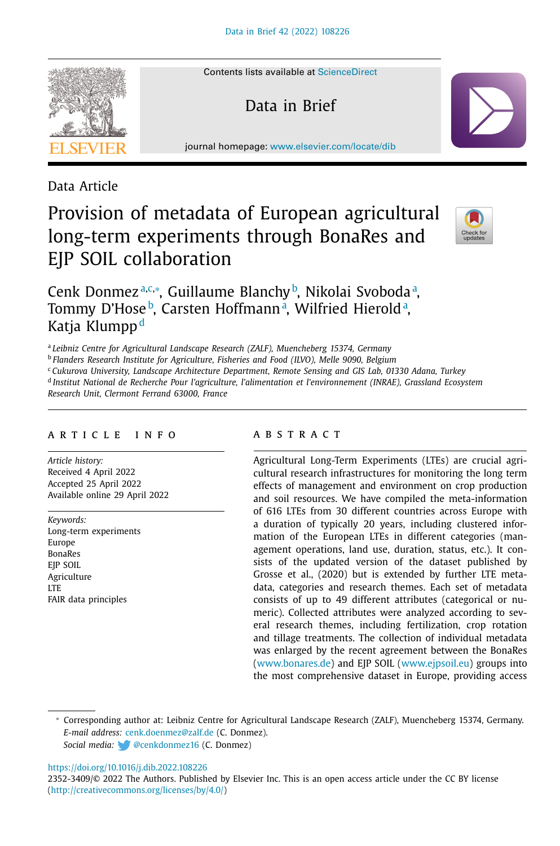Contents lists available at [ScienceDirect](http://www.ScienceDirect.com)

Data in Brief

journal homepage: [www.elsevier.com/locate/dib](http://www.elsevier.com/locate/dib)

## Data Article

# Provision of metadata of European agricultural long-term experiments through BonaRes and EJP SOIL collaboration



### Cenk Donmez<sup>a,c,∗</sup>, Guillaume Blanchy<sup>b</sup>, Nikolai Svobodaª, Tommy D'Hose<sup>b</sup>, Carsten Hoffmannª, Wilfried Hieroldª, Katja Klumpp<sup>d</sup>

<sup>a</sup> *Leibniz Centre for Agricultural Landscape Research (ZALF), Muencheberg 15374, Germany*

<sup>b</sup> *Flanders Research Institute for Agriculture, Fisheries and Food (ILVO), Melle 9090, Belgium*

<sup>c</sup> *Cukurova University, Landscape Architecture Department, Remote Sensing and GIS Lab, 01330 Adana, Turkey*

<sup>d</sup> *Institut National de Recherche Pour l'agriculture, l'alimentation et l'environnement (INRAE), Grassland Ecosystem*

*Research Unit, Clermont Ferrand 63000, France*

#### a r t i c l e i n f o

*Article history:* Received 4 April 2022 Accepted 25 April 2022 Available online 29 April 2022

*Keywords:* Long-term experiments Europe BonaRes EJP SOIL Agriculture **LTE** FAIR data principles

#### a b s t r a c t

Agricultural Long-Term Experiments (LTEs) are crucial agricultural research infrastructures for monitoring the long term effects of management and environment on crop production and soil resources. We have compiled the meta-information of 616 LTEs from 30 different countries across Europe with a duration of typically 20 years, including clustered information of the European LTEs in different categories (management operations, land use, duration, status, etc.). It consists of the updated version of the dataset published by Grosse et al., (2020) but is extended by further LTE metadata, categories and research themes. Each set of metadata consists of up to 49 different attributes (categorical or numeric). Collected attributes were analyzed according to several research themes, including fertilization, crop rotation and tillage treatments. The collection of individual metadata was enlarged by the recent agreement between the BonaRes [\(www.bonares.de\)](http://www.bonares.de) and EJP SOIL [\(www.ejpsoil.eu\)](http://www.ejpsoil.eu) groups into the most comprehensive dataset in Europe, providing access

<https://doi.org/10.1016/j.dib.2022.108226>

<sup>∗</sup> Corresponding author at: Leibniz Centre for Agricultural Landscape Research (ZALF), Muencheberg 15374, Germany. *E-mail address:* [cenk.doenmez@zalf.de](mailto:cenk.doenmez@zalf.de) (C. Donmez). *Social media:* [@cenkdonmez16](https://twitter.com/cenkdonmez16) (C. Donmez)

<sup>2352-3409/© 2022</sup> The Authors. Published by Elsevier Inc. This is an open access article under the CC BY license [\(http://creativecommons.org/licenses/by/4.0/\)](http://creativecommons.org/licenses/by/4.0/)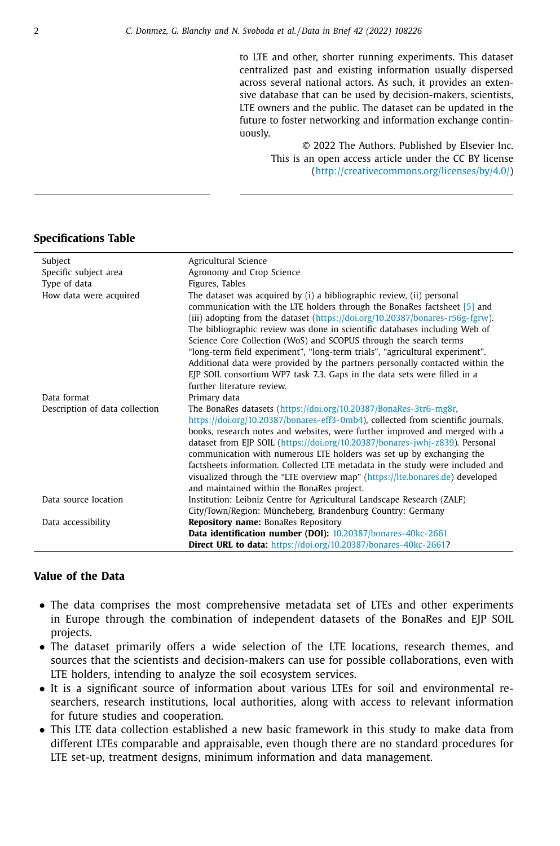to LTE and other, shorter running experiments. This dataset centralized past and existing information usually dispersed across several national actors. As such, it provides an extensive database that can be used by decision-makers, scientists, LTE owners and the public. The dataset can be updated in the future to foster networking and information exchange continuously.

> © 2022 The Authors. Published by Elsevier Inc. This is an open access article under the CC BY license [\(http://creativecommons.org/licenses/by/4.0/\)](http://creativecommons.org/licenses/by/4.0/)

#### **Specifications Table**

| Subject                        | Agricultural Science                                                                                                                                                                                                                                                                                                                                                                                                                                                                                                                                                                                                                                             |
|--------------------------------|------------------------------------------------------------------------------------------------------------------------------------------------------------------------------------------------------------------------------------------------------------------------------------------------------------------------------------------------------------------------------------------------------------------------------------------------------------------------------------------------------------------------------------------------------------------------------------------------------------------------------------------------------------------|
| Specific subject area          | Agronomy and Crop Science                                                                                                                                                                                                                                                                                                                                                                                                                                                                                                                                                                                                                                        |
| Type of data                   | Figures, Tables                                                                                                                                                                                                                                                                                                                                                                                                                                                                                                                                                                                                                                                  |
| How data were acquired         | The dataset was acquired by (i) a bibliographic review, (ii) personal<br>communication with the LTE holders through the BonaRes factsheet [5] and<br>(iii) adopting from the dataset (https://doi.org/10.20387/bonares-r56g-fgrw).<br>The bibliographic review was done in scientific databases including Web of<br>Science Core Collection (WoS) and SCOPUS through the search terms<br>"long-term field experiment", "long-term trials", "agricultural experiment".<br>Additional data were provided by the partners personally contacted within the<br>EJP SOIL consortium WP7 task 7.3. Gaps in the data sets were filled in a<br>further literature review. |
| Data format                    | Primary data                                                                                                                                                                                                                                                                                                                                                                                                                                                                                                                                                                                                                                                     |
| Description of data collection | The BonaRes datasets (https://doi.org/10.20387/BonaRes-3tr6-mg8r,<br>https://doi.org/10.20387/bonares-eff3-0mb4), collected from scientific journals,<br>books, research notes and websites, were further improved and merged with a<br>dataset from EJP SOIL (https://doi.org/10.20387/bonares-jwhj-z839). Personal<br>communication with numerous LTE holders was set up by exchanging the<br>factsheets information. Collected LTE metadata in the study were included and<br>visualized through the "LTE overview map" (https://lte.bonares.de) developed<br>and maintained within the BonaRes project.                                                      |
| Data source location           | Institution: Leibniz Centre for Agricultural Landscape Research (ZALF)                                                                                                                                                                                                                                                                                                                                                                                                                                                                                                                                                                                           |
|                                | City/Town/Region: Müncheberg, Brandenburg Country: Germany                                                                                                                                                                                                                                                                                                                                                                                                                                                                                                                                                                                                       |
| Data accessibility             | <b>Repository name:</b> BonaRes Repository                                                                                                                                                                                                                                                                                                                                                                                                                                                                                                                                                                                                                       |
|                                | Data identification number (DOI): 10.20387/bonares-40kc-2661                                                                                                                                                                                                                                                                                                                                                                                                                                                                                                                                                                                                     |
|                                | <b>Direct URL to data: https://doi.org/10.20387/bonares-40kc-2661?</b>                                                                                                                                                                                                                                                                                                                                                                                                                                                                                                                                                                                           |

#### **Value of the Data**

- The data comprises the most comprehensive metadata set of LTEs and other experiments in Europe through the combination of independent datasets of the BonaRes and EJP SOIL projects.
- The dataset primarily offers a wide selection of the LTE locations, research themes, and sources that the scientists and decision-makers can use for possible collaborations, even with LTE holders, intending to analyze the soil ecosystem services.
- It is a significant source of information about various LTEs for soil and environmental researchers, research institutions, local authorities, along with access to relevant information for future studies and cooperation.
- This LTE data collection established a new basic framework in this study to make data from different LTEs comparable and appraisable, even though there are no standard procedures for LTE set-up, treatment designs, minimum information and data management.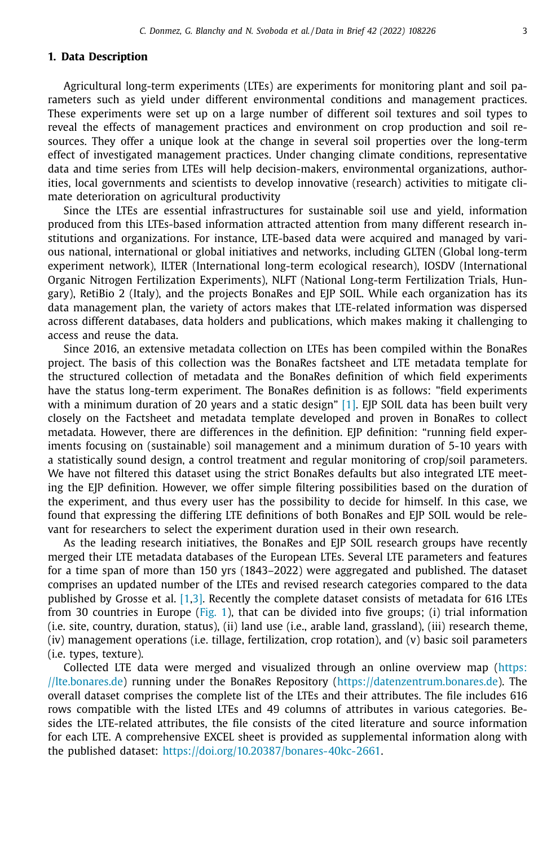#### **1. Data Description**

Agricultural long-term experiments (LTEs) are experiments for monitoring plant and soil parameters such as yield under different environmental conditions and management practices. These experiments were set up on a large number of different soil textures and soil types to reveal the effects of management practices and environment on crop production and soil resources. They offer a unique look at the change in several soil properties over the long-term effect of investigated management practices. Under changing climate conditions, representative data and time series from LTEs will help decision-makers, environmental organizations, authorities, local governments and scientists to develop innovative (research) activities to mitigate climate deterioration on agricultural productivity

Since the LTEs are essential infrastructures for sustainable soil use and yield, information produced from this LTEs-based information attracted attention from many different research institutions and organizations. For instance, LTE-based data were acquired and managed by various national, international or global initiatives and networks, including GLTEN (Global long-term experiment network), ILTER (International long-term ecological research), IOSDV (International Organic Nitrogen Fertilization Experiments), NLFT (National Long-term Fertilization Trials, Hungary), RetiBio 2 (Italy), and the projects BonaRes and EJP SOIL. While each organization has its data management plan, the variety of actors makes that LTE-related information was dispersed across different databases, data holders and publications, which makes making it challenging to access and reuse the data.

Since 2016, an extensive metadata collection on LTEs has been compiled within the BonaRes project. The basis of this collection was the BonaRes factsheet and LTE metadata template for the structured collection of metadata and the BonaRes definition of which field experiments have the status long-term experiment. The BonaRes definition is as follows: "field experiments with a minimum duration of 20 years and a static design" [\[1\].](#page-8-0) EJP SOIL data has been built very closely on the Factsheet and metadata template developed and proven in BonaRes to collect metadata. However, there are differences in the definition. EJP definition: "running field experiments focusing on (sustainable) soil management and a minimum duration of 5-10 years with a statistically sound design, a control treatment and regular monitoring of crop/soil parameters. We have not filtered this dataset using the strict BonaRes defaults but also integrated LTE meeting the EJP definition. However, we offer simple filtering possibilities based on the duration of the experiment, and thus every user has the possibility to decide for himself. In this case, we found that expressing the differing LTE definitions of both BonaRes and EJP SOIL would be relevant for researchers to select the experiment duration used in their own research.

As the leading research initiatives, the BonaRes and EJP SOIL research groups have recently merged their LTE metadata databases of the European LTEs. Several LTE parameters and features for a time span of more than 150 yrs (1843–2022) were aggregated and published. The dataset comprises an updated number of the LTEs and revised research categories compared to the data published by Grosse et al. [\[1,3\].](#page-8-0) Recently the complete dataset consists of metadata for 616 LTEs from 30 countries in Europe [\(Fig.](#page-4-0) 1), that can be divided into five groups; (i) trial information (i.e. site, country, duration, status), (ii) land use (i.e., arable land, grassland), (iii) research theme, (iv) management operations (i.e. tillage, fertilization, crop rotation), and (v) basic soil parameters (i.e. types, texture).

Collected LTE data were merged and visualized through an online overview map (https: //lte.bonares.de) running under the BonaRes Repository [\(https://datenzentrum.bonares.de\).](https://lte.bonares.de) The overall dataset comprises the complete list of the LTEs and their attributes. The file includes 616 rows compatible with the listed LTEs and 49 columns of attributes in various categories. Besides the LTE-related attributes, the file consists of the cited literature and source information for each LTE. A comprehensive EXCEL sheet is provided as supplemental information along with the published dataset: [https://doi.org/10.20387/bonares-40kc-2661.](https://doi.org/10.20387/bonares-40kc-2661)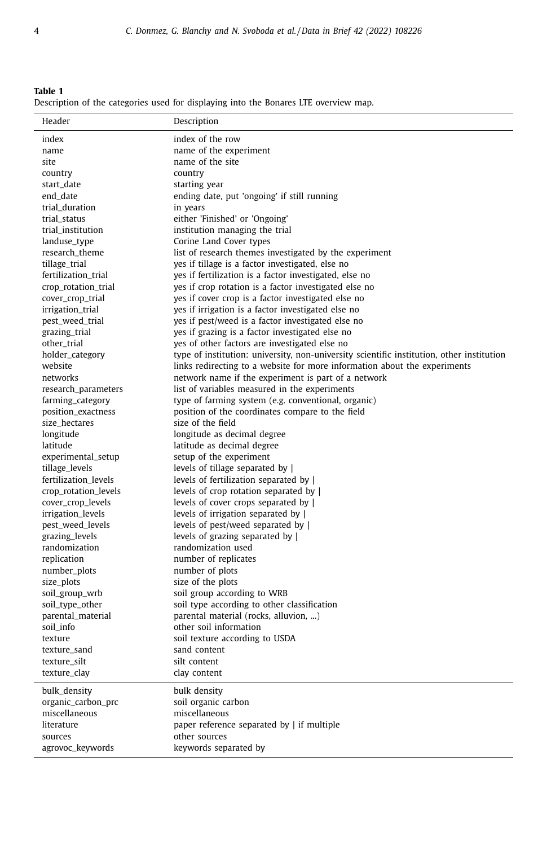<span id="page-3-0"></span>**Table 1** Description of the categories used for displaying into the Bonares LTE overview map.

| Header               | Description                                                                               |
|----------------------|-------------------------------------------------------------------------------------------|
| index                | index of the row                                                                          |
| name                 | name of the experiment                                                                    |
| site                 | name of the site                                                                          |
| country              | country                                                                                   |
| start_date           | starting year                                                                             |
| end date             | ending date, put 'ongoing' if still running                                               |
| trial_duration       | in years                                                                                  |
| trial_status         | either 'Finished' or 'Ongoing'                                                            |
| trial_institution    | institution managing the trial                                                            |
| landuse_type         | Corine Land Cover types                                                                   |
| research_theme       | list of research themes investigated by the experiment                                    |
| tillage_trial        | yes if tillage is a factor investigated, else no                                          |
| fertilization_trial  | yes if fertilization is a factor investigated, else no                                    |
| crop_rotation_trial  | yes if crop rotation is a factor investigated else no                                     |
| cover_crop_trial     | yes if cover crop is a factor investigated else no                                        |
| irrigation_trial     | yes if irrigation is a factor investigated else no                                        |
| pest_weed_trial      | yes if pest/weed is a factor investigated else no                                         |
| grazing_trial        | yes if grazing is a factor investigated else no                                           |
| other_trial          | yes of other factors are investigated else no                                             |
| holder_category      | type of institution: university, non-university scientific institution, other institution |
| website              | links redirecting to a website for more information about the experiments                 |
| networks             | network name if the experiment is part of a network                                       |
| research_parameters  | list of variables measured in the experiments                                             |
| farming_category     | type of farming system (e.g. conventional, organic)                                       |
| position_exactness   | position of the coordinates compare to the field                                          |
| size_hectares        | size of the field                                                                         |
| longitude            | longitude as decimal degree                                                               |
| latitude             | latitude as decimal degree                                                                |
| experimental_setup   | setup of the experiment                                                                   |
| tillage_levels       | levels of tillage separated by                                                            |
| fertilization levels | levels of fertilization separated by                                                      |
| crop_rotation_levels | levels of crop rotation separated by                                                      |
| cover_crop_levels    | levels of cover crops separated by                                                        |
| irrigation_levels    | levels of irrigation separated by                                                         |
| pest_weed_levels     | levels of pest/weed separated by                                                          |
| grazing_levels       | levels of grazing separated by                                                            |
| randomization        | randomization used                                                                        |
| replication          | number of replicates                                                                      |
| number_plots         | number of plots                                                                           |
| size_plots           | size of the plots                                                                         |
| soil_group_wrb       | soil group according to WRB                                                               |
| soil_type_other      | soil type according to other classification                                               |
| parental_material    | parental material (rocks, alluvion, )                                                     |
| soil_info            | other soil information                                                                    |
| texture              | soil texture according to USDA                                                            |
| texture_sand         | sand content                                                                              |
| texture_silt         | silt content                                                                              |
| texture_clay         | clay content                                                                              |
| bulk_density         | bulk density                                                                              |
| organic_carbon_prc   | soil organic carbon                                                                       |
| miscellaneous        | miscellaneous                                                                             |
| literature           | paper reference separated by   if multiple                                                |
| sources              | other sources                                                                             |
| agrovoc_keywords     | keywords separated by                                                                     |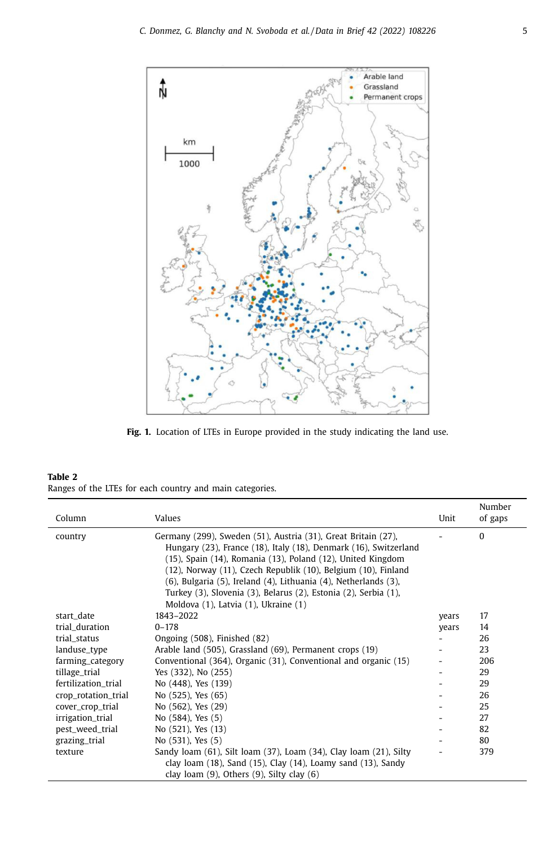<span id="page-4-0"></span>

**Fig. 1.** Location of LTEs in Europe provided in the study indicating the land use.

| Table 2 |  |  |  |                                                          |  |
|---------|--|--|--|----------------------------------------------------------|--|
|         |  |  |  | Ranges of the LTEs for each country and main categories. |  |

| Column              | Values                                                                                                                                                                                                                                                                                                                                                                                                                                          | Unit  | Number<br>of gaps |
|---------------------|-------------------------------------------------------------------------------------------------------------------------------------------------------------------------------------------------------------------------------------------------------------------------------------------------------------------------------------------------------------------------------------------------------------------------------------------------|-------|-------------------|
| country             | Germany (299), Sweden (51), Austria (31), Great Britain (27),<br>Hungary (23), France (18), Italy (18), Denmark (16), Switzerland<br>(15), Spain (14), Romania (13), Poland (12), United Kingdom<br>(12), Norway (11), Czech Republik (10), Belgium (10), Finland<br>(6), Bulgaria (5), Ireland (4), Lithuania (4), Netherlands (3),<br>Turkey (3), Slovenia (3), Belarus (2), Estonia (2), Serbia (1),<br>Moldova (1), Latvia (1), Ukraine (1) |       | $\Omega$          |
| start_date          | 1843-2022                                                                                                                                                                                                                                                                                                                                                                                                                                       | years | 17                |
| trial_duration      | $0 - 178$                                                                                                                                                                                                                                                                                                                                                                                                                                       | years | 14                |
| trial_status        | Ongoing (508), Finished (82)                                                                                                                                                                                                                                                                                                                                                                                                                    |       | 26                |
| landuse_type        | Arable land (505), Grassland (69), Permanent crops (19)                                                                                                                                                                                                                                                                                                                                                                                         |       | 23                |
| farming_category    | Conventional (364), Organic (31), Conventional and organic (15)                                                                                                                                                                                                                                                                                                                                                                                 |       | 206               |
| tillage_trial       | Yes (332), No (255)                                                                                                                                                                                                                                                                                                                                                                                                                             |       | 29                |
| fertilization_trial | No (448), Yes (139)                                                                                                                                                                                                                                                                                                                                                                                                                             |       | 29                |
| crop_rotation_trial | No (525), Yes (65)                                                                                                                                                                                                                                                                                                                                                                                                                              |       | 26                |
| cover_crop_trial    | No (562), Yes (29)                                                                                                                                                                                                                                                                                                                                                                                                                              |       | 25                |
| irrigation_trial    | No (584), Yes (5)                                                                                                                                                                                                                                                                                                                                                                                                                               |       | 27                |
| pest_weed_trial     | No (521), Yes (13)                                                                                                                                                                                                                                                                                                                                                                                                                              |       | 82                |
| grazing_trial       | No (531), Yes (5)                                                                                                                                                                                                                                                                                                                                                                                                                               |       | 80                |
| texture             | Sandy loam (61), Silt loam (37), Loam (34), Clay loam (21), Silty                                                                                                                                                                                                                                                                                                                                                                               |       | 379               |
|                     | clay loam $(18)$ , Sand $(15)$ , Clay $(14)$ , Loamy sand $(13)$ , Sandy                                                                                                                                                                                                                                                                                                                                                                        |       |                   |
|                     | clay loam $(9)$ , Others $(9)$ , Silty clay $(6)$                                                                                                                                                                                                                                                                                                                                                                                               |       |                   |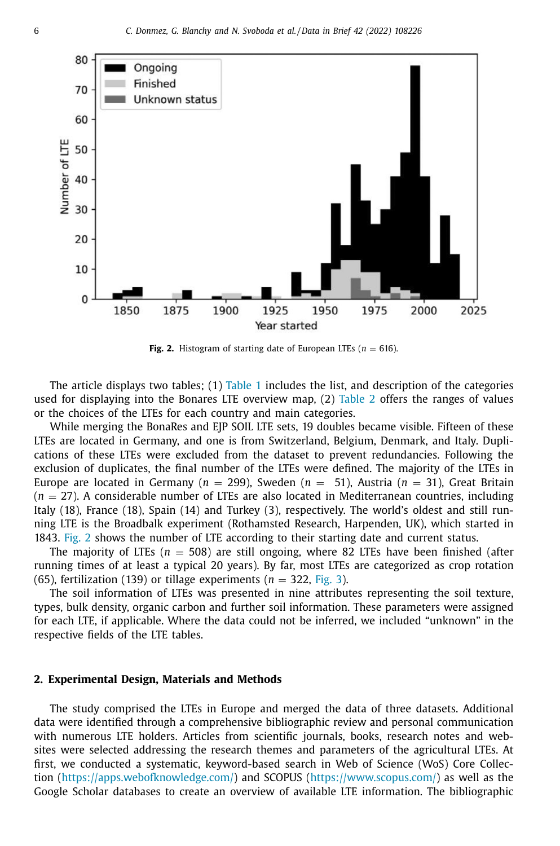

**Fig. 2.** Histogram of starting date of European LTEs ( $n = 616$ ).

The article displays two tables;  $(1)$  [Table](#page-3-0) 1 includes the list, and description of the categories used for displaying into the Bonares LTE overview map, (2) [Table](#page-4-0) 2 offers the ranges of values or the choices of the LTEs for each country and main categories.

While merging the BonaRes and EJP SOIL LTE sets, 19 doubles became visible. Fifteen of these LTEs are located in Germany, and one is from Switzerland, Belgium, Denmark, and Italy. Duplications of these LTEs were excluded from the dataset to prevent redundancies. Following the exclusion of duplicates, the final number of the LTEs were defined. The majority of the LTEs in Europe are located in Germany ( $n = 299$ ), Sweden ( $n = 51$ ), Austria ( $n = 31$ ), Great Britain  $(n = 27)$ . A considerable number of LTEs are also located in Mediterranean countries, including Italy (18), France (18), Spain (14) and Turkey (3), respectively. The world's oldest and still running LTE is the Broadbalk experiment (Rothamsted Research, Harpenden, UK), which started in 1843. Fig. 2 shows the number of LTE according to their starting date and current status.

The majority of LTEs ( $n = 508$ ) are still ongoing, where 82 LTEs have been finished (after running times of at least a typical 20 years). By far, most LTEs are categorized as crop rotation (65), fertilization (139) or tillage experiments  $(n = 322, Fig. 3)$  $(n = 322, Fig. 3)$  $(n = 322, Fig. 3)$ .

The soil information of LTEs was presented in nine attributes representing the soil texture, types, bulk density, organic carbon and further soil information. These parameters were assigned for each LTE, if applicable. Where the data could not be inferred, we included "unknown" in the respective fields of the LTE tables.

#### **2. Experimental Design, Materials and Methods**

The study comprised the LTEs in Europe and merged the data of three datasets. Additional data were identified through a comprehensive bibliographic review and personal communication with numerous LTE holders. Articles from scientific journals, books, research notes and websites were selected addressing the research themes and parameters of the agricultural LTEs. At first, we conducted a systematic, keyword-based search in Web of Science (WoS) Core Collection [\(https://apps.webofknowledge.com/\)](https://apps.webofknowledge.com/) and SCOPUS [\(https://www.scopus.com/\)](https://www.scopus.com/) as well as the Google Scholar databases to create an overview of available LTE information. The bibliographic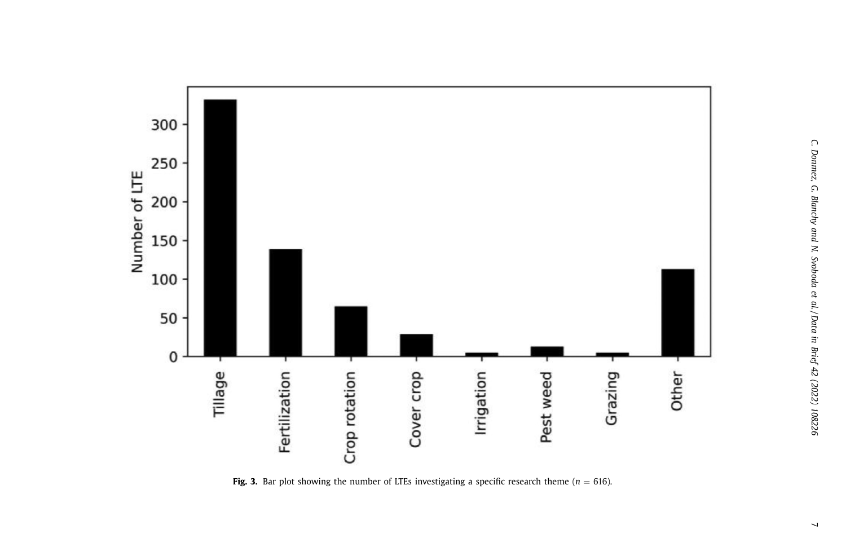<span id="page-6-0"></span>

**Fig.** 3. Bar plot showing the number of LTEs investigating a specific research theme ( $n = 616$ ).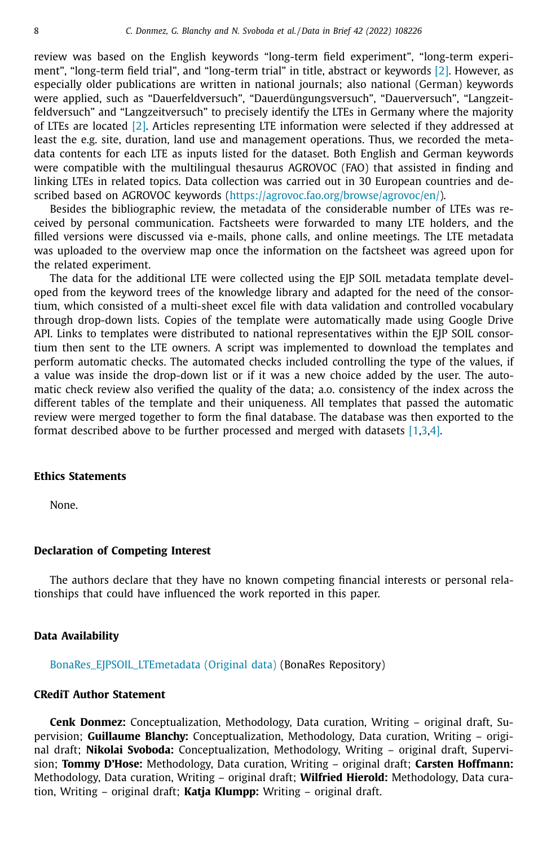review was based on the English keywords "long-term field experiment", "long-term experiment", "long-term field trial", and "long-term trial" in title, abstract or keywords [\[2\].](#page-8-0) However, as especially older publications are written in national journals; also national (German) keywords were applied, such as "Dauerfeldversuch", "Dauerdüngungsversuch", "Dauerversuch", "Langzeitfeldversuch" and "Langzeitversuch" to precisely identify the LTEs in Germany where the majority of LTEs are located [\[2\].](#page-8-0) Articles representing LTE information were selected if they addressed at least the e.g. site, duration, land use and management operations. Thus, we recorded the metadata contents for each LTE as inputs listed for the dataset. Both English and German keywords were compatible with the multilingual thesaurus AGROVOC (FAO) that assisted in finding and linking LTEs in related topics. Data collection was carried out in 30 European countries and described based on AGROVOC keywords [\(https://agrovoc.fao.org/browse/agrovoc/en/\)](https://agrovoc.fao.org/browse/agrovoc/en/).

Besides the bibliographic review, the metadata of the considerable number of LTEs was received by personal communication. Factsheets were forwarded to many LTE holders, and the filled versions were discussed via e-mails, phone calls, and online meetings. The LTE metadata was uploaded to the overview map once the information on the factsheet was agreed upon for the related experiment.

The data for the additional LTE were collected using the EJP SOIL metadata template developed from the keyword trees of the knowledge library and adapted for the need of the consortium, which consisted of a multi-sheet excel file with data validation and controlled vocabulary through drop-down lists. Copies of the template were automatically made using Google Drive API. Links to templates were distributed to national representatives within the EJP SOIL consortium then sent to the LTE owners. A script was implemented to download the templates and perform automatic checks. The automated checks included controlling the type of the values, if a value was inside the drop-down list or if it was a new choice added by the user. The automatic check review also verified the quality of the data; a.o. consistency of the index across the different tables of the template and their uniqueness. All templates that passed the automatic review were merged together to form the final database. The database was then exported to the format described above to be further processed and merged with datasets [\[1,3,4\].](#page-8-0)

#### **Ethics Statements**

None.

#### **Declaration of Competing Interest**

The authors declare that they have no known competing financial interests or personal relationships that could have influenced the work reported in this paper.

#### **Data Availability**

[BonaRes\\_EJPSOIL\\_LTEmetadata](https://doi.org/10.20387/bonares-40kc-2661) (Original data) (BonaRes Repository)

#### **CRediT Author Statement**

**Cenk Donmez:** Conceptualization, Methodology, Data curation, Writing – original draft, Supervision; **Guillaume Blanchy:** Conceptualization, Methodology, Data curation, Writing – original draft; **Nikolai Svoboda:** Conceptualization, Methodology, Writing – original draft, Supervision; **Tommy D'Hose:** Methodology, Data curation, Writing – original draft; **Carsten Hoffmann:** Methodology, Data curation, Writing – original draft; **Wilfried Hierold:** Methodology, Data curation, Writing – original draft; **Katja Klumpp:** Writing – original draft.